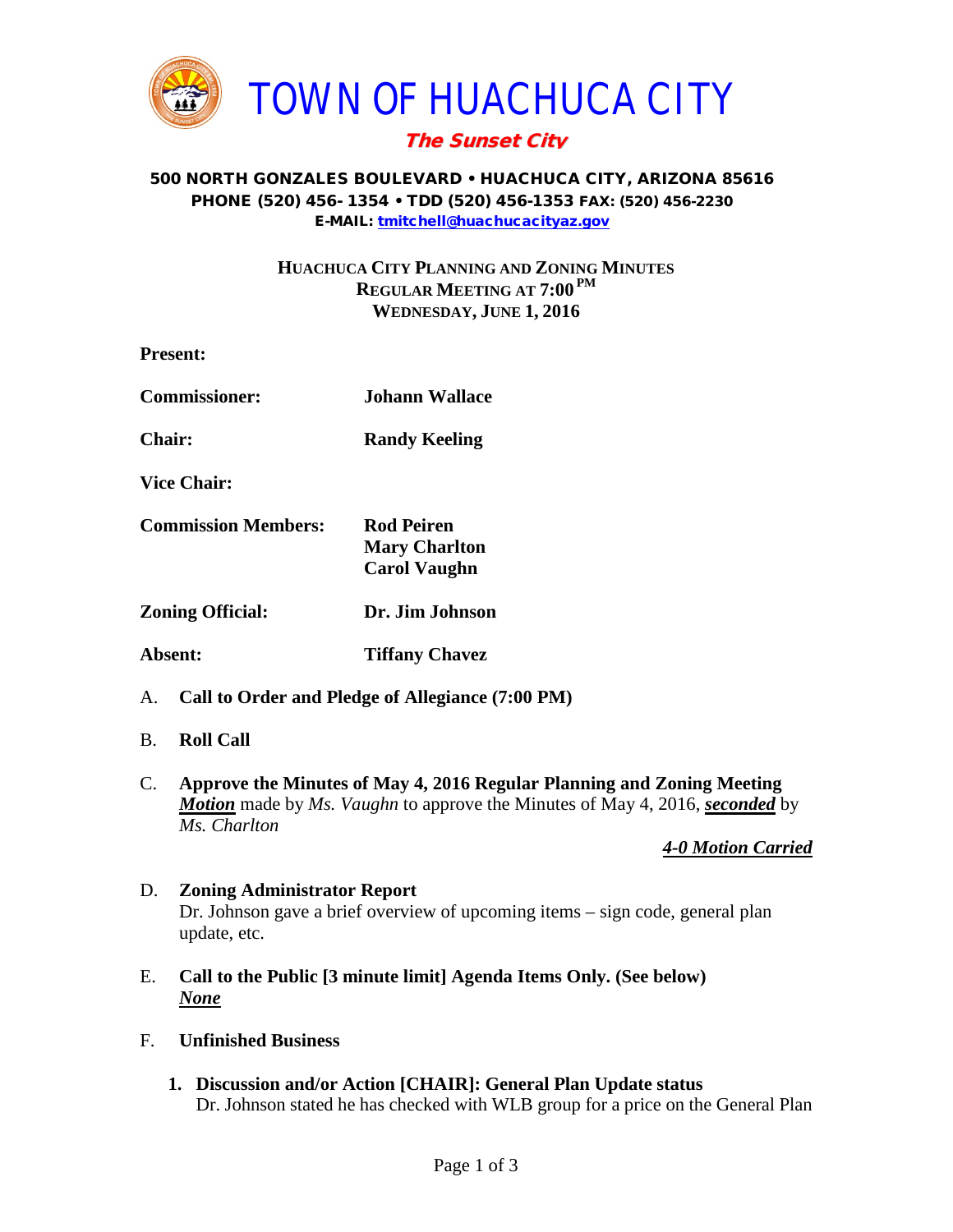

# The Sunset City

#### 500 NORTH GONZALES BOULEVARD • HUACHUCA CITY, ARIZONA 85616 PHONE (520) 456- 1354 • TDD (520) 456-1353 FAX: (520) 456-2230 E-MAIL: [tmitchell@huachucacityaz.gov](mailto:tmitchell@huachucacityaz.gov)

## **HUACHUCA CITY PLANNING AND ZONING MINUTES REGULAR MEETING AT 7:00 PM WEDNESDAY, JUNE 1, 2016**

| <b>Present:</b>                                        |                                                                  |
|--------------------------------------------------------|------------------------------------------------------------------|
| <b>Commissioner:</b>                                   | Johann Wallace                                                   |
| <b>Chair:</b>                                          | <b>Randy Keeling</b>                                             |
| <b>Vice Chair:</b>                                     |                                                                  |
| <b>Commission Members:</b>                             | <b>Rod Peiren</b><br><b>Mary Charlton</b><br><b>Carol Vaughn</b> |
| <b>Zoning Official:</b>                                | Dr. Jim Johnson                                                  |
| Absent:                                                | <b>Tiffany Chavez</b>                                            |
| А.<br>Call to Order and Pledge of Allegiance (7:00 PM) |                                                                  |

- B. **Roll Call**
- C. **Approve the Minutes of May 4, 2016 Regular Planning and Zoning Meeting** *Motion* made by *Ms. Vaughn* to approve the Minutes of May 4, 2016, *seconded* by *Ms. Charlton*

## *4-0 Motion Carried*

## D. **Zoning Administrator Report** Dr. Johnson gave a brief overview of upcoming items – sign code, general plan update, etc.

- E. **Call to the Public [3 minute limit] Agenda Items Only. (See below)** *None*
- F. **Unfinished Business**
	- **1. Discussion and/or Action [CHAIR]: General Plan Update status** Dr. Johnson stated he has checked with WLB group for a price on the General Plan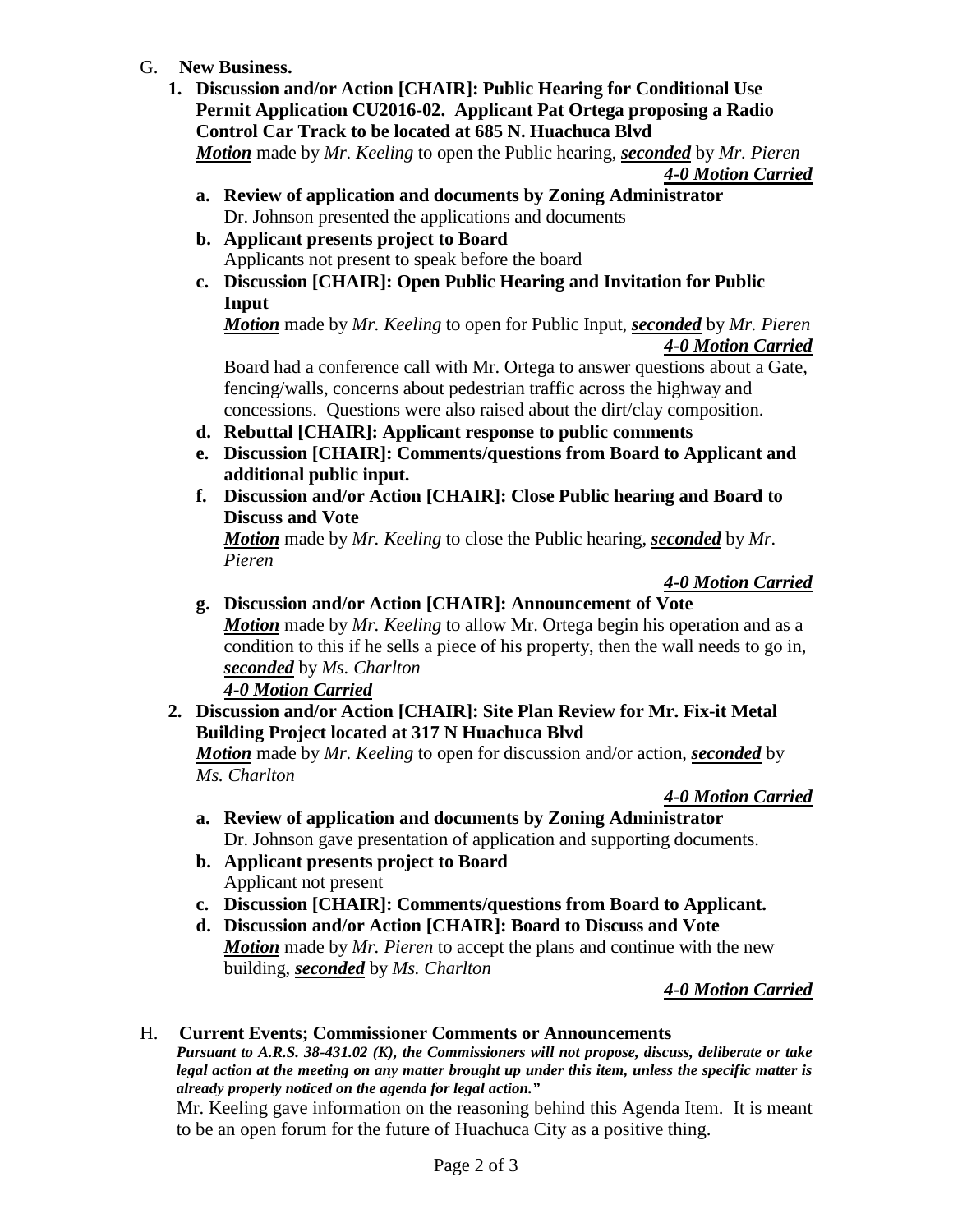- G. **New Business.**
	- **1. Discussion and/or Action [CHAIR]: Public Hearing for Conditional Use Permit Application CU2016-02. Applicant Pat Ortega proposing a Radio Control Car Track to be located at 685 N. Huachuca Blvd** *Motion* made by *Mr. Keeling* to open the Public hearing, *seconded* by *Mr. Pieren 4-0 Motion Carried*
		- **a. Review of application and documents by Zoning Administrator** Dr. Johnson presented the applications and documents
		- **b. Applicant presents project to Board** Applicants not present to speak before the board
		- **c. Discussion [CHAIR]: Open Public Hearing and Invitation for Public Input**

*Motion* made by *Mr. Keeling* to open for Public Input, *seconded* by *Mr. Pieren 4-0 Motion Carried*

Board had a conference call with Mr. Ortega to answer questions about a Gate, fencing/walls, concerns about pedestrian traffic across the highway and concessions. Questions were also raised about the dirt/clay composition.

- **d. Rebuttal [CHAIR]: Applicant response to public comments**
- **e. Discussion [CHAIR]: Comments/questions from Board to Applicant and additional public input.**
- **f. Discussion and/or Action [CHAIR]: Close Public hearing and Board to Discuss and Vote**

*Motion* made by *Mr. Keeling* to close the Public hearing, *seconded* by *Mr. Pieren*

#### *4-0 Motion Carried*

- **g. Discussion and/or Action [CHAIR]: Announcement of Vote** *Motion* made by *Mr. Keeling* to allow Mr. Ortega begin his operation and as a condition to this if he sells a piece of his property, then the wall needs to go in, *seconded* by *Ms. Charlton 4-0 Motion Carried*
- **2. Discussion and/or Action [CHAIR]: Site Plan Review for Mr. Fix-it Metal Building Project located at 317 N Huachuca Blvd** *Motion* made by *Mr. Keeling* to open for discussion and/or action, *seconded* by

*Ms. Charlton*

## *4-0 Motion Carried*

- **a. Review of application and documents by Zoning Administrator** Dr. Johnson gave presentation of application and supporting documents.
- **b. Applicant presents project to Board** Applicant not present
- **c. Discussion [CHAIR]: Comments/questions from Board to Applicant.**
- **d. Discussion and/or Action [CHAIR]: Board to Discuss and Vote** *Motion* made by *Mr. Pieren* to accept the plans and continue with the new building, *seconded* by *Ms. Charlton*

## *4-0 Motion Carried*

## H. **Current Events; Commissioner Comments or Announcements**

*Pursuant to A.R.S. 38-431.02 (K), the Commissioners will not propose, discuss, deliberate or take legal action at the meeting on any matter brought up under this item, unless the specific matter is already properly noticed on the agenda for legal action."*

Mr. Keeling gave information on the reasoning behind this Agenda Item. It is meant to be an open forum for the future of Huachuca City as a positive thing.